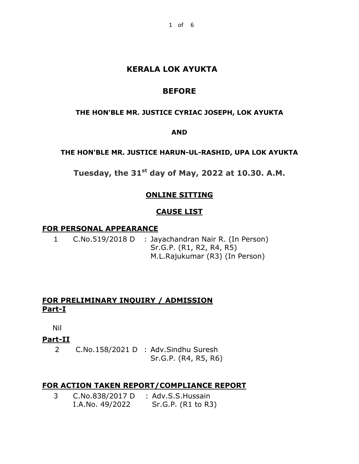# **KERALA LOK AYUKTA**

# **BEFORE**

### **THE HON'BLE MR. JUSTICE CYRIAC JOSEPH, LOK AYUKTA**

### **AND**

### **THE HON'BLE MR. JUSTICE HARUN-UL-RASHID, UPA LOK AYUKTA**

**Tuesday, the 31st day of May, 2022 at 10.30. A.M.**

# **ONLINE SITTING**

### **CAUSE LIST**

### **FOR PERSONAL APPEARANCE**

1 C.No.519/2018 D : Jayachandran Nair R. (In Person) Sr.G.P. (R1, R2, R4, R5) M.L.Rajukumar (R3) (In Person)

## **FOR PRELIMINARY INQUIRY / ADMISSION Part-I**

Nil

**Part-II**

2 C.No.158/2021 D : Adv.Sindhu Suresh Sr.G.P. (R4, R5, R6)

### **FOR ACTION TAKEN REPORT/COMPLIANCE REPORT**

3 C.No.838/2017 D : Adv.S.S.Hussain I.A.No. 49/2022 Sr.G.P. (R1 to R3)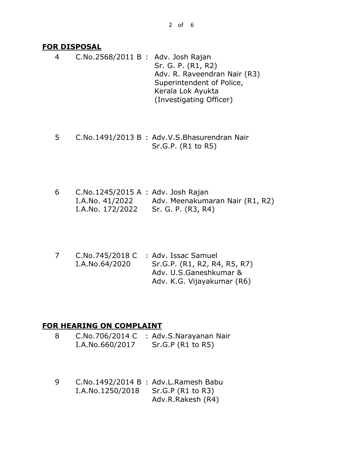### **FOR DISPOSAL**

4 C.No.2568/2011 B : Adv. Josh Rajan Sr. G. P. (R1, R2) Adv. R. Raveendran Nair (R3) Superintendent of Police, Kerala Lok Ayukta (Investigating Officer)

- 5 C.No.1491/2013 B : Adv.V.S.Bhasurendran Nair Sr.G.P. (R1 to R5)
- 6 C.No.1245/2015 A : Adv. Josh Rajan I.A.No. 41/2022 I.A.No. 172/2022 Adv. Meenakumaran Nair (R1, R2) Sr. G. P. (R3, R4)
- 7 C.No.745/2018 C I.A.No.64/2020 : Adv. Issac Samuel Sr.G.P. (R1, R2, R4, R5, R7) Adv. U.S.Ganeshkumar & Adv. K.G. Vijayakumar (R6)

### **FOR HEARING ON COMPLAINT**

- 8 C.No.706/2014 C I.A.No.660/2017 : Adv.S.Narayanan Nair Sr.G.P (R1 to R5)
- 9 C.No.1492/2014 B : Adv.L.Ramesh Babu I.A.No.1250/2018 Sr.G.P (R1 to R3) Adv.R.Rakesh (R4)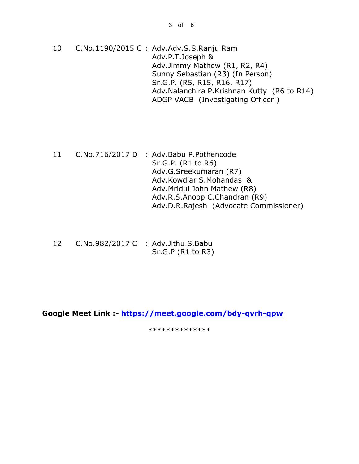- 10 C.No.1190/2015 C : Adv.Adv.S.S.Ranju Ram Adv.P.T.Joseph & Adv.Jimmy Mathew (R1, R2, R4) Sunny Sebastian (R3) (In Person) Sr.G.P. (R5, R15, R16, R17) Adv.Nalanchira P.Krishnan Kutty (R6 to R14) ADGP VACB (Investigating Officer )
- 11 C.No.716/2017 D : Adv.Babu P.Pothencode Sr.G.P. (R1 to R6) Adv.G.Sreekumaran (R7) Adv.Kowdiar S.Mohandas & Adv.Mridul John Mathew (R8) Adv.R.S.Anoop C.Chandran (R9) Adv.D.R.Rajesh (Advocate Commissioner)
- 12 C.No.982/2017 C : Adv.Jithu S.Babu Sr.G.P (R1 to R3)

**Google Meet Link :- <https://meet.google.com/bdy-qvrh-qpw>**

\*\*\*\*\*\*\*\*\*\*\*\*\*\*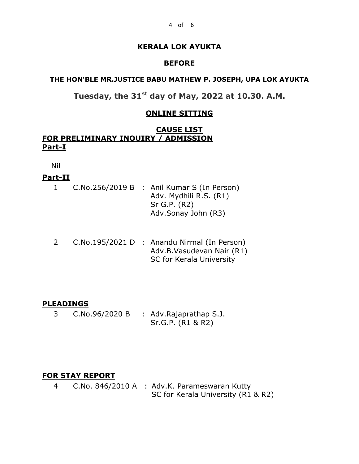### **KERALA LOK AYUKTA**

#### **BEFORE**

#### **THE HON'BLE MR.JUSTICE BABU MATHEW P. JOSEPH, UPA LOK AYUKTA**

**Tuesday, the 31st day of May, 2022 at 10.30. A.M.**

## **ONLINE SITTING**

### **CAUSE LIST FOR PRELIMINARY INQUIRY / ADMISSION Part-I**

Nil

### **Part-II**

|  | C.No.256/2019 B : Anil Kumar S (In Person) |
|--|--------------------------------------------|
|  | Adv. Mydhili R.S. (R1)                     |
|  | $Sr$ G.P. $(R2)$                           |
|  | Adv.Sonay John (R3)                        |

2 C.No.195/2021 D : Anandu Nirmal (In Person) Adv.B.Vasudevan Nair (R1) SC for Kerala University

### **PLEADINGS**

3 C.No.96/2020 B : Adv.Rajaprathap S.J. Sr.G.P. (R1 & R2)

### **FOR STAY REPORT**

4 C.No. 846/2010 A : Adv.K. Parameswaran Kutty SC for Kerala University (R1 & R2)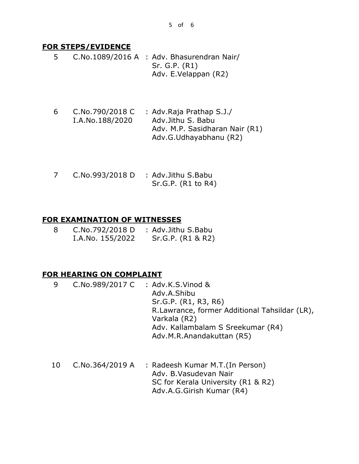#### **FOR STEPS/EVIDENCE**

- 5 C.No.1089/2016 A : Adv. Bhasurendran Nair/ Sr. G.P. (R1) Adv. E.Velappan (R2)
- 6 C.No.790/2018 C I.A.No.188/2020 : Adv.Raja Prathap S.J./ Adv.Jithu S. Babu Adv. M.P. Sasidharan Nair (R1) Adv.G.Udhayabhanu (R2)
- 7 C.No.993/2018 D : Adv.Jithu S.Babu Sr.G.P. (R1 to R4)

### **FOR EXAMINATION OF WITNESSES**

| 8 | C.No.792/2018 D  | : Adv.Jithu S.Babu |
|---|------------------|--------------------|
|   | I.A.No. 155/2022 | Sr.G.P. (R1 & R2)  |

### **FOR HEARING ON COMPLAINT**

- 9 C.No.989/2017 C : Adv.K.S.Vinod & Adv.A.Shibu Sr.G.P. (R1, R3, R6) R.Lawrance, former Additional Tahsildar (LR), Varkala (R2) Adv. Kallambalam S Sreekumar (R4) Adv.M.R.Anandakuttan (R5)
- 10 C.No.364/2019 A : Radeesh Kumar M.T.(In Person) Adv. B.Vasudevan Nair SC for Kerala University (R1 & R2) Adv.A.G.Girish Kumar (R4)